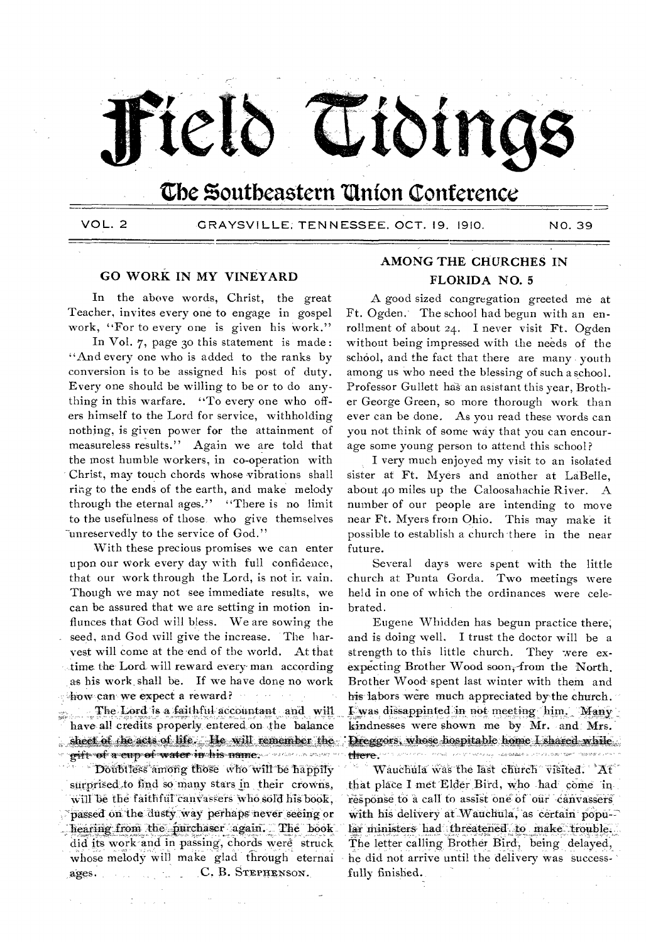

# The Southeastern Union Conference

VOL. 2

GRAYSVILLE; TENNESSEE, OCT. 19, 1910.

NO. 39

# **GO WORK IN MY VINEYARD**

In the above words, Christ, the great Teacher, invites every one to engage in gospel work, "For to every one is given his work."

In Vol. 7, page 30 this statement is made: "And every one who is added to the ranks by conversion is to be assigned his post of duty. Every one should be willing to be or to do anything in this warfare. "To every one who offers himself to the Lord for service, withholding nothing, is given power for the attainment of measureless results." Again we are told that the most humble workers, in co-operation with Christ, may touch chords whose vibrations shall ring to the ends of the earth, and make melody through the eternal ages," "There is no limit to the usefulness of those, who give themselves "unreservedly to the service of God."

With these precious promises we can enter upon our work every day with full confidence, that our work through the Lord, is not in vain. Though we may not see immediate results, we can be assured that we are setting in motion influnces that God will bless. We are sowing the seed, and God will give the increase. The harvest will come at the end of the world. At that time the Lord will reward every man according as his work shall be. If we have done no work thow can we expect a reward?

The Lord is a faithful accountant and will have all credits properly entered on the balance sheet of the acts of life. He will remember the pift of a cup of water in his name. And the server

Doubliess among those who will be happily surprised to find so many stars in their crowns. will be the faithful canvassers who sold his book, rassed on the dusty way perhaps never seeing or hearing from the purchaser again. The book did its work and in passing, chords were struck whose melody will make glad through eternai C. B. STEPHENSON. ages.

# AMONG THE CHURCHES IN **FLORIDA NO. 5**

A good sized congregation greeted me at Ft. Ogden. The school had begun with an enrollment of about 24. I never visit Ft. Ogden without being impressed with the needs of the school, and the fact that there are many youth among us who need the blessing of such a school. Professor Gullett has an asistant this year, Brother George Green, so more thorough work than ever can be done. As you read these words can you not think of some way that you can encourage some young person to attend this school?

I very much enjoyed my visit to an isolated sister at Ft. Myers and another at LaBelle, about 40 miles up the Caloosahachie River. A number of our people are intending to move near Ft. Myers from Ohio. This may make it possible to establish a church there in the near future.

Several days were spent with the little church at Punta Gorda. Two meetings were held in one of which the ordinances were celebrated.

Eugene Whidden has begun practice there, and is doing well. I trust the doctor will be a strength to this little church. They were exexpecting Brother Wood soon, from the North. Brother Wood spent last winter with them and his labors were much appreciated by the church. I was dissappinted in not meeting him. Many kindnesses were shown me by Mr. and Mrs. Dreggors, whose hospitable home I shared while אייל אויפואפלי לאפריסט בעיר היינו אפשטעה קשרופיה ויינו איז די היינו לשיריי הרידי היינו לא there.

Wauchula was the last church visited. At that place I met Elder Bird, who had come in response to a call to assist one of our canvassers with his delivery at Wauchula, as certain popular ministers had threatened to make trouble. The letter calling Brother Bird, being delayed, he did not arrive until the delivery was successfully finished.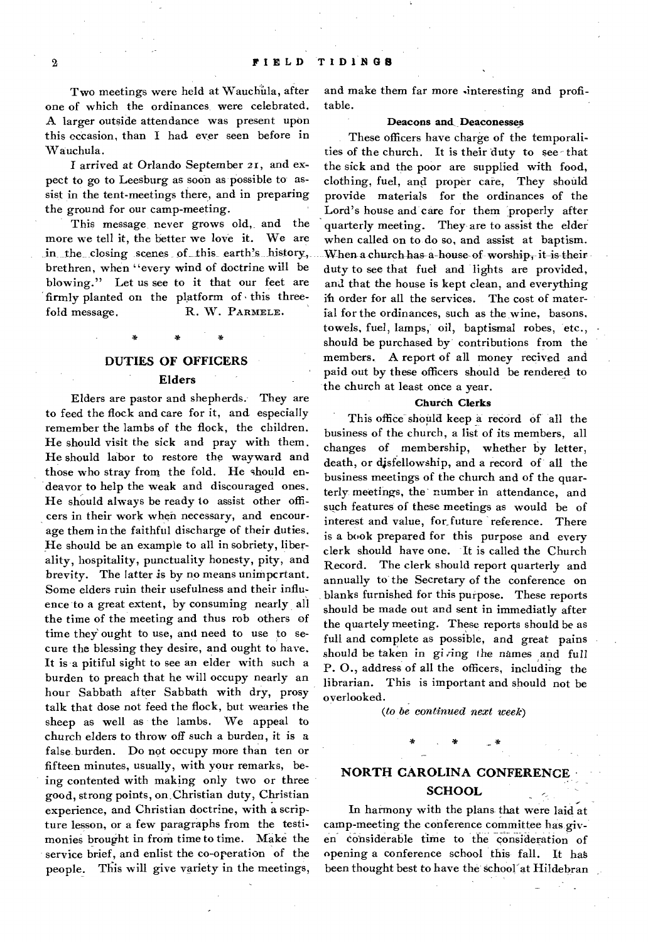Two meetings were held at Wauchula, after one of which the ordinances were celebrated. A larger outside attendance was present upon this occasion, than I had. ever seen before in Wauchula.

I arrived at Orlando September 21, and expect to go to Leesburg as soon as possible to assist in the tent-meetings there, and in preparing the ground for our camp-meeting.

This message, never grows old, and the more we tell it, the better we love it. We are in the closing scenes of this earth's history, brethren, when "every wind of doctrine will be blowing." Let us see to it that our feet are firmly planted on the platform of this threefold message. R. W. PARMELE.

# **DUTIES OF OFFICERS Elders**

Elders are pastor and shepherds. They are to feed the flock and care for it, and especially remember the lambs of the flock, the children. He should visit the sick and pray with them. He should labor to restore the wayward and those who stray from the fold. He should endeavor to help the weak and discouraged ones. He should always be ready to assist other officers in their work when necessary, and encourage them in the faithful discharge of their duties. He should be an example to all in sobriety, liberality, hospitality, punctuality honesty, pity, and brevity. The latter is by no means unimpertant. Some elders ruin their usefulness and their influence to a great extent, by consuming nearly all the time of the meeting and thus rob others of time they' ought to use, and need to use to secure the blessing they desire, and ought to have. It is a pitiful sight to see an elder with such a burden to preach that he will occupy nearly an hour Sabbath after Sabbath with dry, prosy talk that dose not feed the flock, but wearies the sheep as well as the lambs. We appeal to church elders to throw off such a burden, it is a false burden. Do not occupy more than ten or fifteen minutes, usually, with your remarks, being contented with making only two or three good, strong points, on Christian duty, Christian experience, and Christian doctrine, with a scripture lesson, or a few paragraphs from the testimonies brought in from time to time. Make the service brief, and enlist the co-operation of the people. This will give variety in the meetings, and make them far more sinteresting and profitable.

# **Deacons and, Deaconesses**

These officers have charge of the temporalities of the church. It is their duty to see that the sick and the poor are supplied with food, clothing, fuel, and proper care, They should provide materials for the ordinances of the Lord's house and care for them properly after quarterly meeting. They are to assist the elder when called on to do so, and assist at baptism. When a church has-a-house of worship, it is their duty to see that fuel and lights are provided, and that the house is kept clean, and everything ih order for all the services. The cost of material for the ordinances, such as the wine, basons, towels, fuel, lamps, oil, baptismal robes, etc., should be purchased by contributions from the members. A report of all money recived and paid out by these officers should be rendered to the church at least once a year.

# **Church Clerks**

This office should keep a record of all the business of the church, a list of its members, all changes of membership, whether by letter, death, or disfellowship, and a record of all the business meetings of the church and of the quarterly meetings, the number in attendance, and such features of these meetings as would be of interest and value, for future reference. There is a book prepared for this purpose and every clerk should have one. It is called the Church Record. The clerk should report quarterly and annually to the Secretary of the conference on blanks furnished for this purpose. These reports should be made out and sent in immediatly after the quartely meeting. These reports should be as full and complete as possible, and great pains should be taken in gi*ring* the names and full **P.** 0., address of all the officers, including the librarian. This is important and should not be overlooked.

*(to be continued next week)* 

\*

# **NORTH CAROLINA CONFERENCE SCHOOL**

In harmony with the plans that were laid at camp-meeting the conference committee has giv en considerable time to the consideration of opening a conference school this fall. It has been thought best to have the school at Hildebran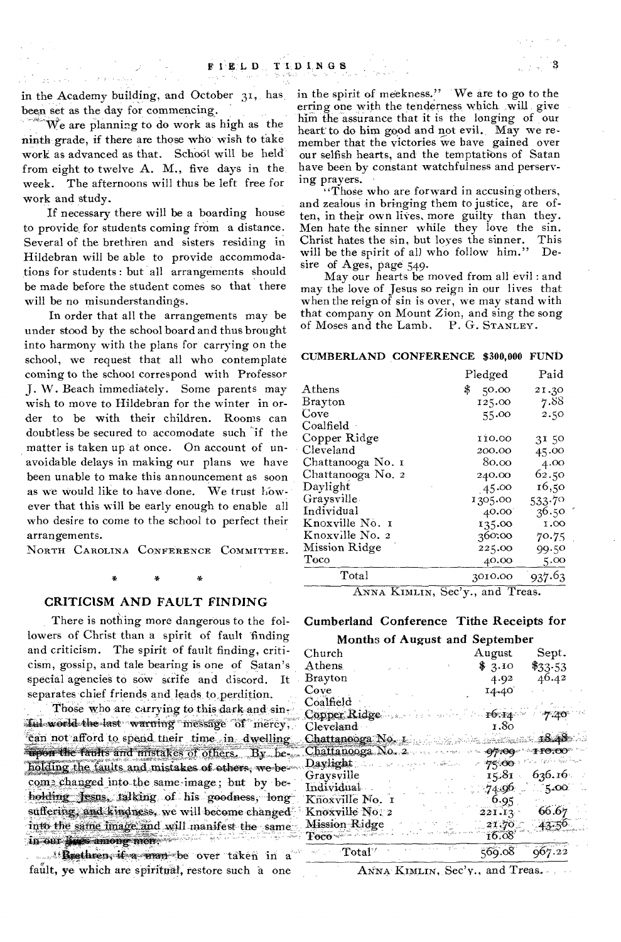in the Academy building, and October 31, has, been set as the day for commencing.

'We are planning to do work as high as the ninth grade, if there are those who wish to take work as advanced as that. School will be held from eight to twelve A. M., five days in the week. The afternoons will thus be left free for work and study.

If necessary there will be a boarding house to provide, for students coming from a distance. Several of the brethren and sisters residing in Hildebran will be able to provide accommodations for students : but all arrangements should be made before the student comes so that there will be no misunderstandings.

In order that all the arrangements may be under stood by the school board and thus brought into harmony with the plans for carrying on the school, we request that all who contemplate coming to the school correspond with Professor J. W. Beach immediately. Some parents may wish to move to Hildebran for the winter in order to be with their children. Rooms can doubtless be secured to accomodate such 'if the matter is taken up at once. On account of unavoidable delays in making our plans we have been unable to make this announcement as soon as we would like to have done. We trust however that this will be early enough to enable all who desire to come to the school to perfect their arrangements.

NORTH CAROLINA CONFERENCE COMMITTEE.

# CRITICISM AND FAULT FINDING

There is nothing more dangerous to the followers of Christ than a spirit of fault finding and criticism. The spirit of fault finding, criticism, gossip, and tale bearing is one of Satan's special agencies to sow strife and discord. It separates chief friends and, leads to perdition.

Those who are carrying to this dark and sinful world the last warning message of mercy; can not afford to spend their time in dwelling upon the faults and mistakes of others. By .beholding the faults and mistakes of others, we be-\*come changed into the same image; but by beholding Jesus, talking of his goodness, longsuffering; and kindness, we will become changed into the same image and will manifest the same in our lines among men. We have a series of

14 Brethren, if a man be over taken in a fault, ye which are spiritual, restore such a one

in the spirit of meekness." We are to go to the erring one with the tenderness which will give him the assurance that it is the longing of our heart to do him good and not evil. May we remember that the victories we have gained over our selfish hearts, and the temptations of Satan have been by constant watchfulness and perserving prayers.

"Those who are forward in accusing others, and zealous in bringing them to justice, are often, in their own lives, more guilty than they. Men hate the sinner while they love the sin. Christ hates the sin, but loves the sinner. This will be the spirit of all who follow him." Desire of Ages, page 549.

May our hearts be moved from all evil : and may the love of Jesus so reign in our lives that when the reign of sin is over, we may stand with that company on Mount Zion, and sing the song of Moses and the Lamb. P. G. STANLEY.

# CUMBERLAND CONFERENCE \$300,000 FUND

|                   | Pledged                                                   | Paid        |
|-------------------|-----------------------------------------------------------|-------------|
| ${\rm A}$ thens   | \$<br>50.00                                               | 21.30       |
| Brayton           | 125.00                                                    | 7.88        |
| Cove              | 55.00                                                     | 2.50        |
| $\rm Coalfield$ . |                                                           |             |
| Copper Ridge      | 110.00                                                    | 31.50       |
| Cleveland         | 200.00                                                    | 45.00       |
| Chattanooga No. 1 | 80.00                                                     | 4.00        |
| Chattanooga No. 2 | 240.00                                                    | 62.50       |
| Daylight          | 45.00                                                     | 16,50       |
| Graysville        | 1305.00                                                   | 533.70      |
| Individual        | 40.00                                                     | 36.50       |
| Knoxville No. 1   | 135.00                                                    | $_{\rm oo}$ |
| Knoxville No. 2   | 360.00                                                    | 70.75       |
| Mission Ridge     | 225.00                                                    | 99.50       |
| Toco              | 40.00                                                     | 5.00        |
| Total             | 3010.00                                                   | 937.63      |
| $\overline{f}$    | $\overline{\mathbf{r}}$<br>$\overline{\phantom{0}}$<br>۰. |             |

ANNA KIMLIN, Sec'y., and Treas.

# Cumberland Conference Tithe Receipts for

# Months of August and September

| Church                                                                                                                                                         | $\rm{August}$ | Sept.               |
|----------------------------------------------------------------------------------------------------------------------------------------------------------------|---------------|---------------------|
| ${\rm A}$ thens                                                                                                                                                | \$3.10        | $\$33.53$           |
| Brayton                                                                                                                                                        | 4.92          | 46.42               |
| Cove                                                                                                                                                           | 14.40         |                     |
| Coalfield                                                                                                                                                      |               |                     |
| Copper Ridge $\ldots$ . $\cdots$ $\cdots$ $\cdots$ $\cdots$ $\cdots$ $\cdots$ $\cdots$ $\cdots$ $\cdots$ $\cdots$                                              |               |                     |
| Cleveland                                                                                                                                                      | т.80          |                     |
| Chattanooga No. 1. 1999 Martin March 1848                                                                                                                      |               |                     |
| $Chattanooga$ No. 2                                                                                                                                            | - 07.00       | 10:00               |
| Daylight<br>$\langle \gamma_1 \sigma_1 \ldots \sigma_k \sigma_k \sigma_1 \sigma_2 \ldots \sigma_k \sigma_k \sigma_1 \ldots \sigma_k \sigma_k \sigma_k \rangle$ |               | سميته أحلكوا ولأوجئ |
| Graysville                                                                                                                                                     | 15.81         | 636.16              |
| Individual                                                                                                                                                     | $-74.96$      | 5.00                |
| Knoxville No. 1                                                                                                                                                | $-6.95$       |                     |
| Knoxville No. 2                                                                                                                                                | 221.12        | -66.67              |
| Mission-Ridge                                                                                                                                                  | 21.70         | $-43.5^{o}$         |
| <b>Toco</b>                                                                                                                                                    | 16.08         |                     |
| $\sim$ Total <sup>17</sup>                                                                                                                                     | 569.08        |                     |

 $A$ <sub>NNA</sub> KIMLIN, Sec'y., and Treas.